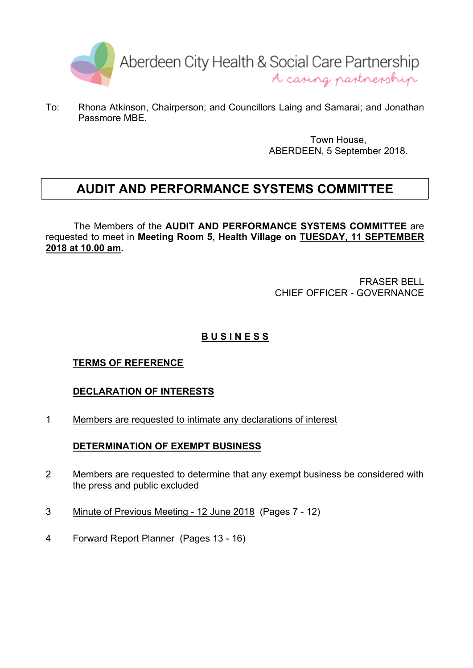

To: Rhona Atkinson, Chairperson; and Councillors Laing and Samarai; and Jonathan Passmore MBE.

> Town House, ABERDEEN, 5 September 2018.

# **AUDIT AND PERFORMANCE SYSTEMS COMMITTEE**

The Members of the **AUDIT AND PERFORMANCE SYSTEMS COMMITTEE** are requested to meet in **Meeting Room 5, Health Village on TUESDAY, 11 SEPTEMBER 2018 at 10.00 am.**

> FRASER BELL CHIEF OFFICER - GOVERNANCE

# **B U S I N E S S**

### **TERMS OF REFERENCE**

### **DECLARATION OF INTERESTS**

1 Members are requested to intimate any declarations of interest

### **DETERMINATION OF EXEMPT BUSINESS**

- 2 Members are requested to determine that any exempt business be considered with the press and public excluded
- 3 Minute of Previous Meeting 12 June 2018 (Pages 7 12)
- 4 Forward Report Planner (Pages 13 16)